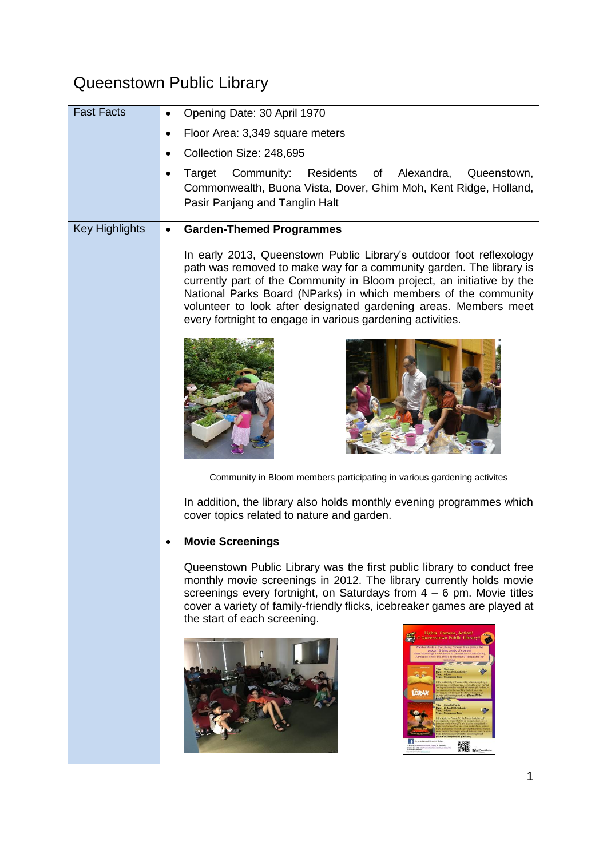## Queenstown Public Library

| <b>Fast Facts</b>     | Opening Date: 30 April 1970                                                                                                                                                                                                                                                                                                                                                                                               |
|-----------------------|---------------------------------------------------------------------------------------------------------------------------------------------------------------------------------------------------------------------------------------------------------------------------------------------------------------------------------------------------------------------------------------------------------------------------|
|                       | Floor Area: 3,349 square meters                                                                                                                                                                                                                                                                                                                                                                                           |
|                       | Collection Size: 248,695                                                                                                                                                                                                                                                                                                                                                                                                  |
|                       | Community:<br>Residents<br>of Alexandra,<br>Target<br>Queenstown,<br>Commonwealth, Buona Vista, Dover, Ghim Moh, Kent Ridge, Holland,<br>Pasir Panjang and Tanglin Halt                                                                                                                                                                                                                                                   |
| <b>Key Highlights</b> | <b>Garden-Themed Programmes</b>                                                                                                                                                                                                                                                                                                                                                                                           |
|                       | In early 2013, Queenstown Public Library's outdoor foot reflexology<br>path was removed to make way for a community garden. The library is<br>currently part of the Community in Bloom project, an initiative by the<br>National Parks Board (NParks) in which members of the community<br>volunteer to look after designated gardening areas. Members meet<br>every fortnight to engage in various gardening activities. |
|                       |                                                                                                                                                                                                                                                                                                                                                                                                                           |
|                       | Community in Bloom members participating in various gardening activites                                                                                                                                                                                                                                                                                                                                                   |
|                       | In addition, the library also holds monthly evening programmes which<br>cover topics related to nature and garden.                                                                                                                                                                                                                                                                                                        |
|                       | <b>Movie Screenings</b>                                                                                                                                                                                                                                                                                                                                                                                                   |
|                       | Queenstown Public Library was the first public library to conduct free<br>monthly movie screenings in 2012. The library currently holds movie<br>screenings every fortnight, on Saturdays from $4 - 6$ pm. Movie titles<br>cover a variety of family-friendly flicks, icebreaker games are played at<br>the start of each screening.<br>Camera, Action<br>ueenstown Public Librar                                         |
|                       | LORA<br>▓▓                                                                                                                                                                                                                                                                                                                                                                                                                |
|                       |                                                                                                                                                                                                                                                                                                                                                                                                                           |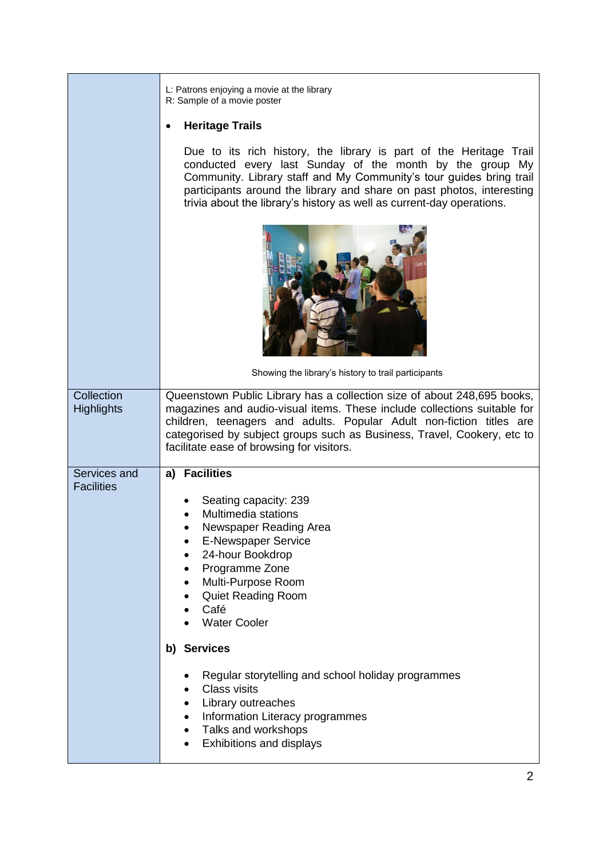|                                 | L: Patrons enjoying a movie at the library<br>R: Sample of a movie poster                                                                                                                                                                                                                                                                               |
|---------------------------------|---------------------------------------------------------------------------------------------------------------------------------------------------------------------------------------------------------------------------------------------------------------------------------------------------------------------------------------------------------|
|                                 | <b>Heritage Trails</b>                                                                                                                                                                                                                                                                                                                                  |
|                                 | Due to its rich history, the library is part of the Heritage Trail<br>conducted every last Sunday of the month by the group My<br>Community. Library staff and My Community's tour guides bring trail<br>participants around the library and share on past photos, interesting<br>trivia about the library's history as well as current-day operations. |
|                                 |                                                                                                                                                                                                                                                                                                                                                         |
|                                 | Showing the library's history to trail participants                                                                                                                                                                                                                                                                                                     |
| Collection<br><b>Highlights</b> | Queenstown Public Library has a collection size of about 248,695 books,<br>magazines and audio-visual items. These include collections suitable for<br>children, teenagers and adults. Popular Adult non-fiction titles are<br>categorised by subject groups such as Business, Travel, Cookery, etc to<br>facilitate ease of browsing for visitors.     |
| Services and                    | a) Facilities                                                                                                                                                                                                                                                                                                                                           |
| <b>Facilities</b>               | Seating capacity: 239<br>Multimedia stations<br>Newspaper Reading Area<br><b>E-Newspaper Service</b><br>24-hour Bookdrop<br>Programme Zone<br>٠<br>Multi-Purpose Room<br><b>Quiet Reading Room</b><br>Café<br><b>Water Cooler</b>                                                                                                                       |
|                                 | b) Services                                                                                                                                                                                                                                                                                                                                             |
|                                 | Regular storytelling and school holiday programmes<br><b>Class visits</b><br>$\bullet$<br>Library outreaches<br>Information Literacy programmes<br>$\bullet$<br>Talks and workshops<br>$\bullet$<br>Exhibitions and displays<br>٠                                                                                                                       |